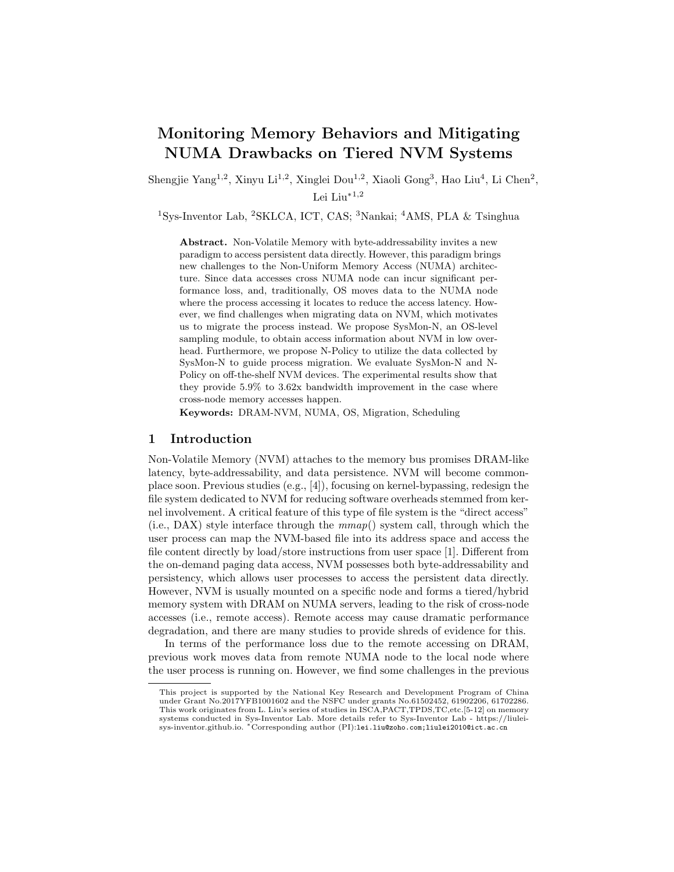# Monitoring Memory Behaviors and Mitigating NUMA Drawbacks on Tiered NVM Systems

Shengjie Yang<sup>1,2</sup>, Xinyu Li<sup>1,2</sup>, Xinglei Dou<sup>1,2</sup>, Xiaoli Gong<sup>3</sup>, Hao Liu<sup>4</sup>, Li Chen<sup>2</sup>, Lei Liu∗1,<sup>2</sup>

<sup>1</sup>Sys-Inventor Lab, <sup>2</sup>SKLCA, ICT, CAS; <sup>3</sup>Nankai; <sup>4</sup>AMS, PLA & Tsinghua

Abstract. Non-Volatile Memory with byte-addressability invites a new paradigm to access persistent data directly. However, this paradigm brings new challenges to the Non-Uniform Memory Access (NUMA) architecture. Since data accesses cross NUMA node can incur significant performance loss, and, traditionally, OS moves data to the NUMA node where the process accessing it locates to reduce the access latency. However, we find challenges when migrating data on NVM, which motivates us to migrate the process instead. We propose SysMon-N, an OS-level sampling module, to obtain access information about NVM in low overhead. Furthermore, we propose N-Policy to utilize the data collected by SysMon-N to guide process migration. We evaluate SysMon-N and N-Policy on off-the-shelf NVM devices. The experimental results show that they provide 5.9% to 3.62x bandwidth improvement in the case where cross-node memory accesses happen.

Keywords: DRAM-NVM, NUMA, OS, Migration, Scheduling

### 1 Introduction

Non-Volatile Memory (NVM) attaches to the memory bus promises DRAM-like latency, byte-addressability, and data persistence. NVM will become commonplace soon. Previous studies (e.g., [\[4\]](#page-4-0)), focusing on kernel-bypassing, redesign the file system dedicated to NVM for reducing software overheads stemmed from kernel involvement. A critical feature of this type of file system is the "direct access" (i.e., DAX) style interface through the  $mmap()$  system call, through which the user process can map the NVM-based file into its address space and access the file content directly by load/store instructions from user space [1]. Different from the on-demand paging data access, NVM possesses both byte-addressability and persistency, which allows user processes to access the persistent data directly. However, NVM is usually mounted on a specific node and forms a tiered/hybrid memory system with DRAM on NUMA servers, leading to the risk of cross-node accesses (i.e., remote access). Remote access may cause dramatic performance degradation, and there are many studies to provide shreds of evidence for this[.](#page-0-0)

In terms of the performance loss due to the remote accessing on DRAM, previous work moves data from remote NUMA node to the local node where the user process is running on. However, we find some challenges in the previous

<span id="page-0-0"></span>This project is supported by the National Key Research and Development Program of China under Grant No.2017YFB1001602 and the NSFC under grants No.61502452, 61902206, 61702286. This work originates from L. Liu's series of studies in ISCA,PACT,TPDS,TC,etc.[5-12] on memory systems conducted in Sys-Inventor Lab. More details refer to Sys-Inventor Lab - https://liuleisys-inventor.github.io. <sup>∗</sup>Corresponding author (PI):lei.liu@zoho.com;liulei2010@ict.ac.cn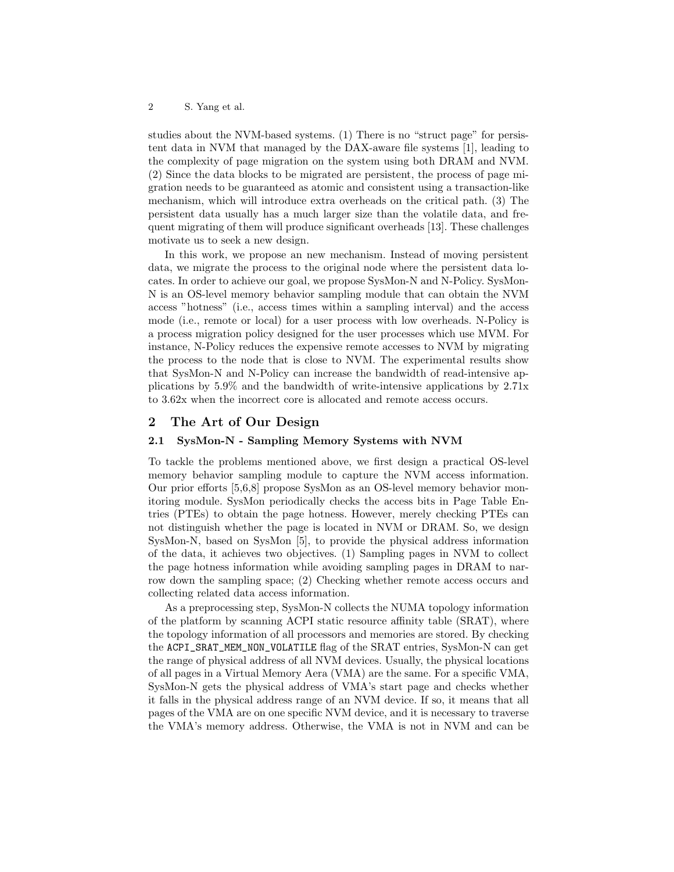studies about the NVM-based systems. (1) There is no "struct page" for persistent data in NVM that managed by the DAX-aware file systems [\[1\]](#page-4-1), leading to the complexity of page migration on the system using both DRAM and NVM. (2) Since the data blocks to be migrated are persistent, the process of page migration needs to be guaranteed as atomic and consistent using a transaction-like mechanism, which will introduce extra overheads on the critical path. (3) The persistent data usually has a much larger size than the volatile data, and frequent migrating of them will produce significant overheads [13]. These challenges motivate us to seek a new design.

In this work, we propose an new mechanism. Instead of moving persistent data, we migrate the process to the original node where the persistent data locates. In order to achieve our goal, we propose SysMon-N and N-Policy. SysMon-N is an OS-level memory behavior sampling module that can obtain the NVM access "hotness" (i.e., access times within a sampling interval) and the access mode (i.e., remote or local) for a user process with low overheads. N-Policy is a process migration policy designed for the user processes which use MVM. For instance, N-Policy reduces the expensive remote accesses to NVM by migrating the process to the node that is close to NVM. The experimental results show that SysMon-N and N-Policy can increase the bandwidth of read-intensive applications by 5.9% and the bandwidth of write-intensive applications by 2.71x to 3.62x when the incorrect core is allocated and remote access occurs.

# 2 The Art of Our Design

#### 2.1 SysMon-N - Sampling Memory Systems with NVM

To tackle the problems mentioned above, we first design a practical OS-level memory behavior sampling module to capture the NVM access information. Our prior efforts [5,6,8] propose SysMon as an OS-level memory behavior monitoring module. SysMon periodically checks the access bits in Page Table Entries (PTEs) to obtain the page hotness. However, merely checking PTEs can not distinguish whether the page is located in NVM or DRAM. So, we design SysMon-N, based on SysMon [\[5\]](#page-4-2), to provide the physical address information of the data, it achieves two objectives. (1) Sampling pages in NVM to collect the page hotness information while avoiding sampling pages in DRAM to narrow down the sampling space; (2) Checking whether remote access occurs and collecting related data access information.

As a preprocessing step, SysMon-N collects the NUMA topology information of the platform by scanning ACPI static resource affinity table (SRAT), where the topology information of all processors and memories are stored. By checking the ACPI\_SRAT\_MEM\_NON\_VOLATILE flag of the SRAT entries, SysMon-N can get the range of physical address of all NVM devices. Usually, the physical locations of all pages in a Virtual Memory Aera (VMA) are the same. For a specific VMA, SysMon-N gets the physical address of VMA's start page and checks whether it falls in the physical address range of an NVM device. If so, it means that all pages of the VMA are on one specific NVM device, and it is necessary to traverse the VMA's memory address. Otherwise, the VMA is not in NVM and can be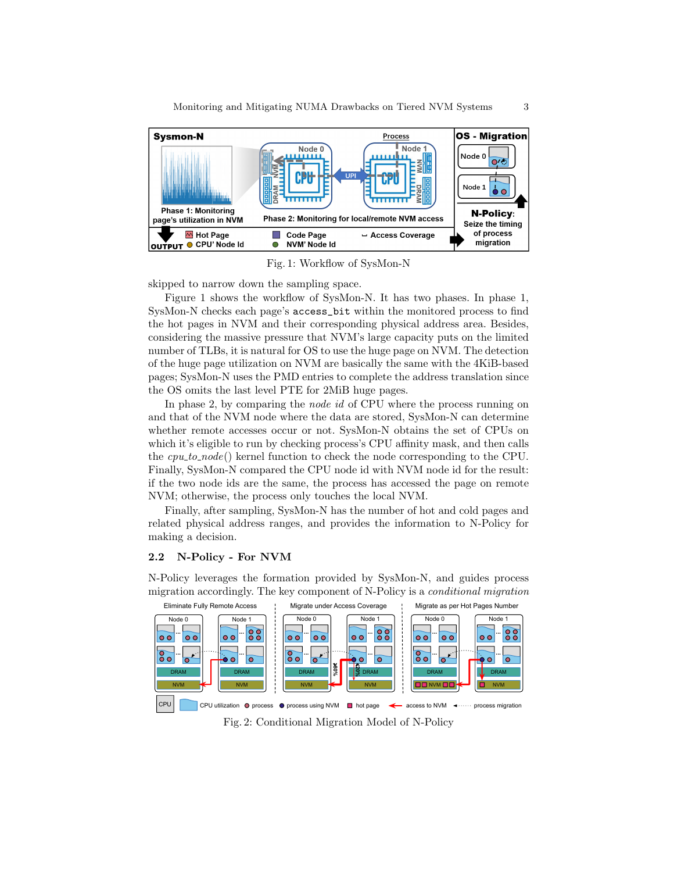<span id="page-2-0"></span>

Fig. 1: Workflow of SysMon-N

skipped to narrow down the sampling space.

Figure [1](#page-2-0) shows the workflow of SysMon-N. It has two phases. In phase 1, SysMon-N checks each page's access\_bit within the monitored process to find the hot pages in NVM and their corresponding physical address area. Besides, considering the massive pressure that NVM's large capacity puts on the limited number of TLBs, it is natural for OS to use the huge page on NVM. The detection of the huge page utilization on NVM are basically the same with the 4KiB-based pages; SysMon-N uses the PMD entries to complete the address translation since the OS omits the last level PTE for 2MiB huge pages.

In phase 2, by comparing the node id of CPU where the process running on and that of the NVM node where the data are stored, SysMon-N can determine whether remote accesses occur or not. SysMon-N obtains the set of CPUs on which it's eligible to run by checking process's CPU affinity mask, and then calls the  $cpu\_to\_node()$  kernel function to check the node corresponding to the CPU. Finally, SysMon-N compared the CPU node id with NVM node id for the result: if the two node ids are the same, the process has accessed the page on remote NVM; otherwise, the process only touches the local NVM.

Finally, after sampling, SysMon-N has the number of hot and cold pages and related physical address ranges, and provides the information to N-Policy for making a decision.

## 2.2 N-Policy - For NVM

N-Policy leverages the formation provided by SysMon-N, and guides process migration accordingly. The key component of N-Policy is a conditional migration

<span id="page-2-1"></span>

Fig. 2: Conditional Migration Model of N-Policy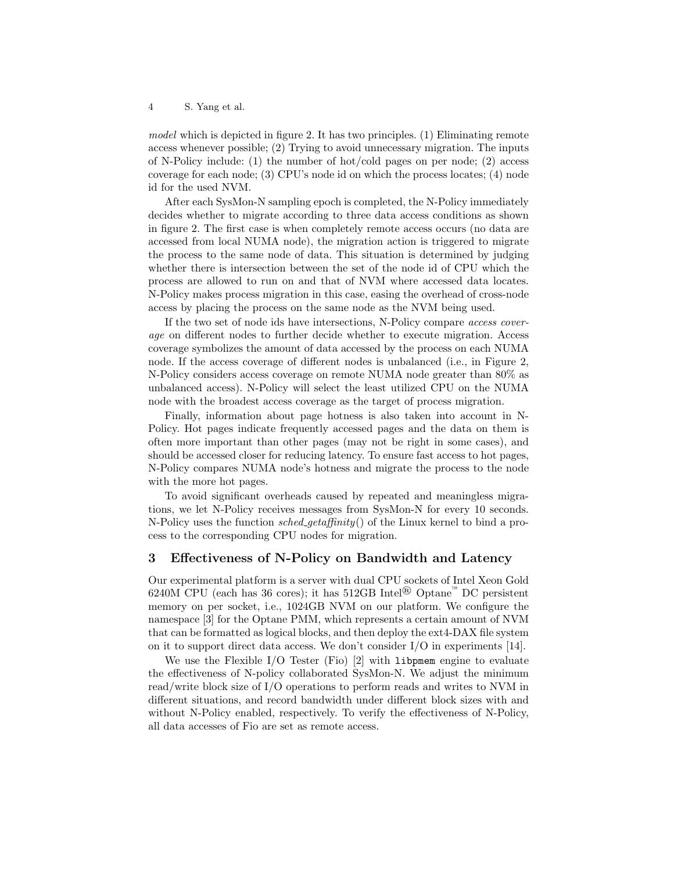model which is depicted in figure [2.](#page-2-1) It has two principles. (1) Eliminating remote access whenever possible; (2) Trying to avoid unnecessary migration. The inputs of N-Policy include: (1) the number of hot/cold pages on per node; (2) access coverage for each node; (3) CPU's node id on which the process locates; (4) node id for the used NVM.

After each SysMon-N sampling epoch is completed, the N-Policy immediately decides whether to migrate according to three data access conditions as shown in figure [2.](#page-2-1) The first case is when completely remote access occurs (no data are accessed from local NUMA node), the migration action is triggered to migrate the process to the same node of data. This situation is determined by judging whether there is intersection between the set of the node id of CPU which the process are allowed to run on and that of NVM where accessed data locates. N-Policy makes process migration in this case, easing the overhead of cross-node access by placing the process on the same node as the NVM being used.

If the two set of node ids have intersections, N-Policy compare access coverage on different nodes to further decide whether to execute migration. Access coverage symbolizes the amount of data accessed by the process on each NUMA node. If the access coverage of different nodes is unbalanced (i.e., in Figure 2, N-Policy considers access coverage on remote NUMA node greater than 80% as unbalanced access). N-Policy will select the least utilized CPU on the NUMA node with the broadest access coverage as the target of process migration.

Finally, information about page hotness is also taken into account in N-Policy. Hot pages indicate frequently accessed pages and the data on them is often more important than other pages (may not be right in some cases), and should be accessed closer for reducing latency. To ensure fast access to hot pages, N-Policy compares NUMA node's hotness and migrate the process to the node with the more hot pages.

To avoid significant overheads caused by repeated and meaningless migrations, we let N-Policy receives messages from SysMon-N for every 10 seconds. N-Policy uses the function sched-getaffinity() of the Linux kernel to bind a process to the corresponding CPU nodes for migration.

# 3 Effectiveness of N-Policy on Bandwidth and Latency

Our experimental platform is a server with dual CPU sockets of Intel Xeon Gold 6240M CPU (each has 36 cores); it has  $512GB$  Intel<sup>®</sup> Optane<sup>™</sup> DC persistent memory on per socket, i.e., 1024GB NVM on our platform. We configure the namespace [\[3\]](#page-4-3) for the Optane PMM, which represents a certain amount of NVM that can be formatted as logical blocks, and then deploy the ext4-DAX file system on it to support direct data access. We don't consider I/O in experiments [14].

We use the Flexible I/O Tester (Fio) [\[2\]](#page-4-4) with libpmem engine to evaluate the effectiveness of N-policy collaborated SysMon-N. We adjust the minimum read/write block size of I/O operations to perform reads and writes to NVM in different situations, and record bandwidth under different block sizes with and without N-Policy enabled, respectively. To verify the effectiveness of N-Policy, all data accesses of Fio are set as remote access.